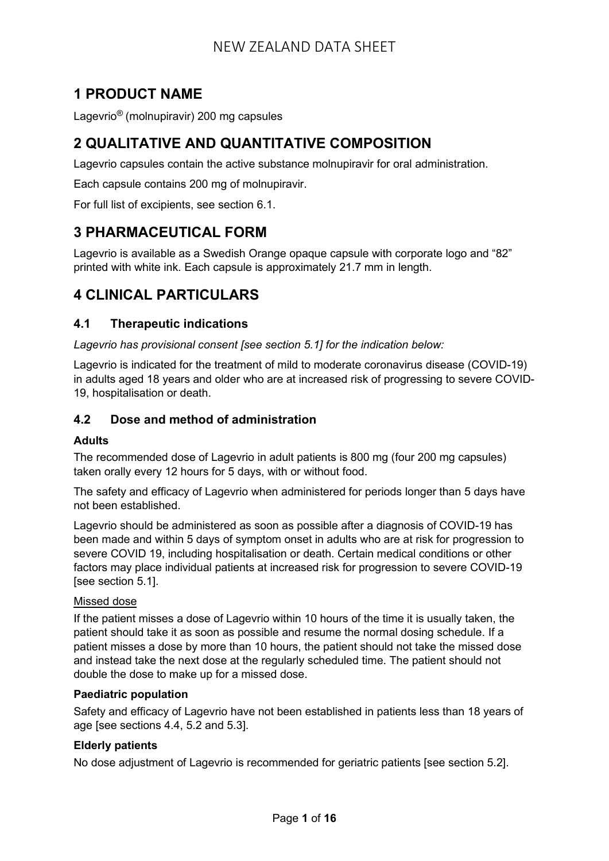# **1 PRODUCT NAME**

Lagevrio® (molnupiravir) 200 mg capsules

# **2 QUALITATIVE AND QUANTITATIVE COMPOSITION**

Lagevrio capsules contain the active substance molnupiravir for oral administration.

Each capsule contains 200 mg of molnupiravir.

For full list of excipients, see section 6.1.

# **3 PHARMACEUTICAL FORM**

Lagevrio is available as a Swedish Orange opaque capsule with corporate logo and "82" printed with white ink. Each capsule is approximately 21.7 mm in length.

# **4 CLINICAL PARTICULARS**

## **4.1 Therapeutic indications**

*Lagevrio has provisional consent [see section 5.1] for the indication below:*

Lagevrio is indicated for the treatment of mild to moderate coronavirus disease (COVID-19) in adults aged 18 years and older who are at increased risk of progressing to severe COVID-19, hospitalisation or death.

## **4.2 Dose and method of administration**

## **Adults**

The recommended dose of Lagevrio in adult patients is 800 mg (four 200 mg capsules) taken orally every 12 hours for 5 days, with or without food.

The safety and efficacy of Lagevrio when administered for periods longer than 5 days have not been established.

Lagevrio should be administered as soon as possible after a diagnosis of COVID-19 has been made and within 5 days of symptom onset in adults who are at risk for progression to severe COVID 19, including hospitalisation or death. Certain medical conditions or other factors may place individual patients at increased risk for progression to severe COVID-19 [see section 5.1].

## Missed dose

If the patient misses a dose of Lagevrio within 10 hours of the time it is usually taken, the patient should take it as soon as possible and resume the normal dosing schedule. If a patient misses a dose by more than 10 hours, the patient should not take the missed dose and instead take the next dose at the regularly scheduled time. The patient should not double the dose to make up for a missed dose.

## **Paediatric population**

Safety and efficacy of Lagevrio have not been established in patients less than 18 years of age [see sections 4.4, 5.2 and 5.3].

## **Elderly patients**

No dose adjustment of Lagevrio is recommended for geriatric patients [see section 5.2].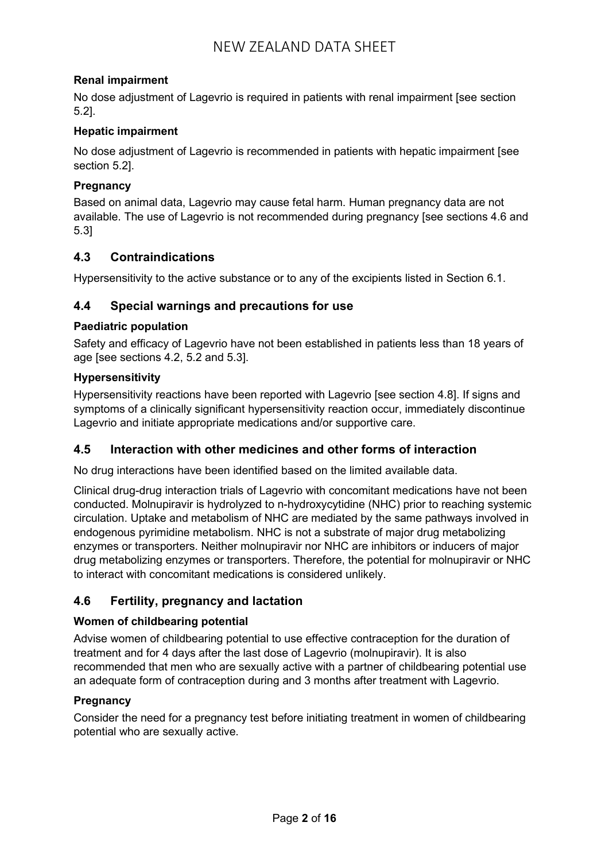## **Renal impairment**

No dose adjustment of Lagevrio is required in patients with renal impairment [see section 5.2].

## **Hepatic impairment**

No dose adjustment of Lagevrio is recommended in patients with hepatic impairment [see section 5.2].

## **Pregnancy**

Based on animal data, Lagevrio may cause fetal harm. Human pregnancy data are not available. The use of Lagevrio is not recommended during pregnancy [see sections 4.6 and 5.3]

## **4.3 Contraindications**

Hypersensitivity to the active substance or to any of the excipients listed in Section 6.1.

## **4.4 Special warnings and precautions for use**

## **Paediatric population**

Safety and efficacy of Lagevrio have not been established in patients less than 18 years of age [see sections 4.2, 5.2 and 5.3].

## **Hypersensitivity**

Hypersensitivity reactions have been reported with Lagevrio [see section 4.8]. If signs and symptoms of a clinically significant hypersensitivity reaction occur, immediately discontinue Lagevrio and initiate appropriate medications and/or supportive care.

## **4.5 Interaction with other medicines and other forms of interaction**

No drug interactions have been identified based on the limited available data.

Clinical drug-drug interaction trials of Lagevrio with concomitant medications have not been conducted. Molnupiravir is hydrolyzed to n-hydroxycytidine (NHC) prior to reaching systemic circulation. Uptake and metabolism of NHC are mediated by the same pathways involved in endogenous pyrimidine metabolism. NHC is not a substrate of major drug metabolizing enzymes or transporters. Neither molnupiravir nor NHC are inhibitors or inducers of major drug metabolizing enzymes or transporters. Therefore, the potential for molnupiravir or NHC to interact with concomitant medications is considered unlikely.

## **4.6 Fertility, pregnancy and lactation**

## **Women of childbearing potential**

Advise women of childbearing potential to use effective contraception for the duration of treatment and for 4 days after the last dose of Lagevrio (molnupiravir). It is also recommended that men who are sexually active with a partner of childbearing potential use an adequate form of contraception during and 3 months after treatment with Lagevrio.

## **Pregnancy**

Consider the need for a pregnancy test before initiating treatment in women of childbearing potential who are sexually active.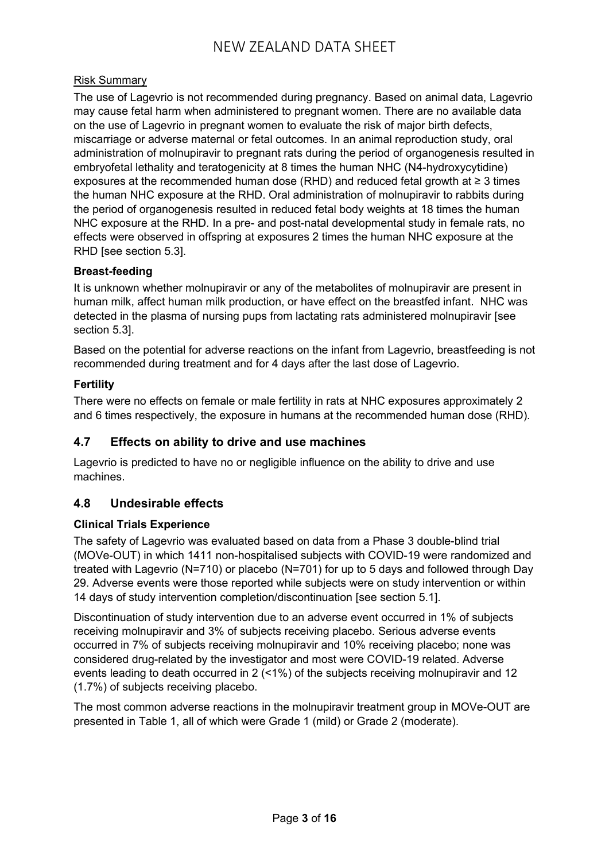## Risk Summary

The use of Lagevrio is not recommended during pregnancy. Based on animal data, Lagevrio may cause fetal harm when administered to pregnant women. There are no available data on the use of Lagevrio in pregnant women to evaluate the risk of major birth defects, miscarriage or adverse maternal or fetal outcomes. In an animal reproduction study, oral administration of molnupiravir to pregnant rats during the period of organogenesis resulted in embryofetal lethality and teratogenicity at 8 times the human NHC (N4-hydroxycytidine) exposures at the recommended human dose (RHD) and reduced fetal growth at  $\geq 3$  times the human NHC exposure at the RHD. Oral administration of molnupiravir to rabbits during the period of organogenesis resulted in reduced fetal body weights at 18 times the human NHC exposure at the RHD. In a pre- and post-natal developmental study in female rats, no effects were observed in offspring at exposures 2 times the human NHC exposure at the RHD [see section 5.3].

## **Breast-feeding**

It is unknown whether molnupiravir or any of the metabolites of molnupiravir are present in human milk, affect human milk production, or have effect on the breastfed infant. NHC was detected in the plasma of nursing pups from lactating rats administered molnupiravir [see section 5.3].

Based on the potential for adverse reactions on the infant from Lagevrio, breastfeeding is not recommended during treatment and for 4 days after the last dose of Lagevrio.

## **Fertility**

There were no effects on female or male fertility in rats at NHC exposures approximately 2 and 6 times respectively, the exposure in humans at the recommended human dose (RHD).

## **4.7 Effects on ability to drive and use machines**

Lagevrio is predicted to have no or negligible influence on the ability to drive and use machines.

## **4.8 Undesirable effects**

## **Clinical Trials Experience**

The safety of Lagevrio was evaluated based on data from a Phase 3 double-blind trial (MOVe-OUT) in which 1411 non-hospitalised subjects with COVID-19 were randomized and treated with Lagevrio (N=710) or placebo (N=701) for up to 5 days and followed through Day 29. Adverse events were those reported while subjects were on study intervention or within 14 days of study intervention completion/discontinuation [see section 5.1].

Discontinuation of study intervention due to an adverse event occurred in 1% of subjects receiving molnupiravir and 3% of subjects receiving placebo. Serious adverse events occurred in 7% of subjects receiving molnupiravir and 10% receiving placebo; none was considered drug-related by the investigator and most were COVID-19 related. Adverse events leading to death occurred in 2 (<1%) of the subjects receiving molnupiravir and 12 (1.7%) of subjects receiving placebo.

The most common adverse reactions in the molnupiravir treatment group in MOVe-OUT are presented in Table 1, all of which were Grade 1 (mild) or Grade 2 (moderate).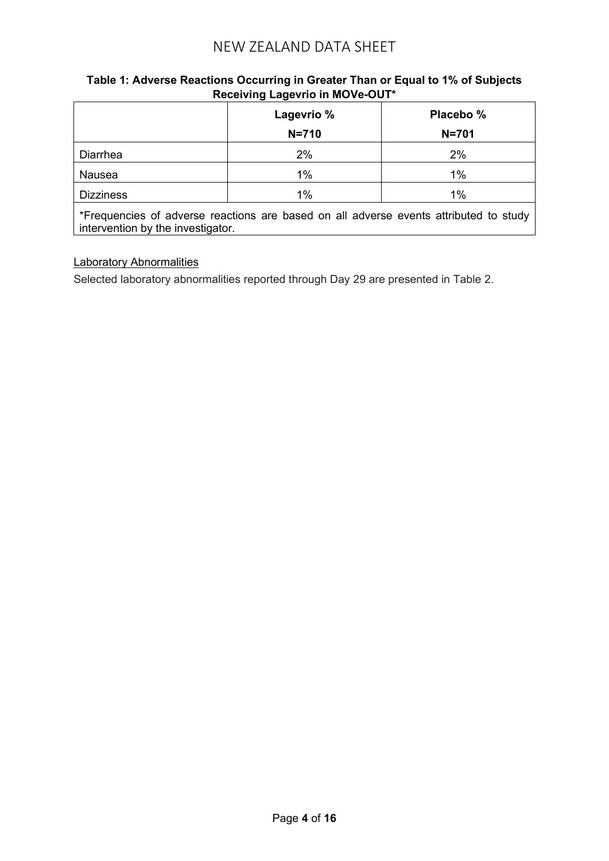## **Table 1: Adverse Reactions Occurring in Greater Than or Equal to 1% of Subjects Receiving Lagevrio in MOVe-OUT\***

|                  | Lagevrio %<br>$N = 710$ | Placebo %<br>$N = 701$ |
|------------------|-------------------------|------------------------|
| Diarrhea         | 2%                      | 2%                     |
| Nausea           | $1\%$                   | 1%                     |
| <b>Dizziness</b> | $1\%$                   | 1%                     |

\*Frequencies of adverse reactions are based on all adverse events attributed to study intervention by the investigator.

Laboratory Abnormalities

Selected laboratory abnormalities reported through Day 29 are presented in Table 2.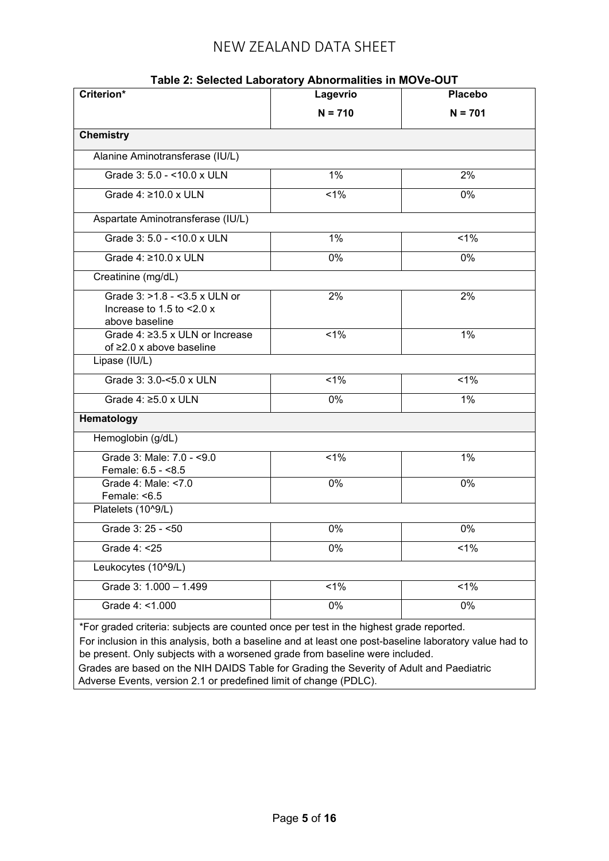| Table 2: Selected Laboratory Abnormalities in MOVe-OUT<br>Criterion*<br>Lagevrio<br><b>Placebo</b>                                                                                                                                                                                |                  |                  |  |  |
|-----------------------------------------------------------------------------------------------------------------------------------------------------------------------------------------------------------------------------------------------------------------------------------|------------------|------------------|--|--|
|                                                                                                                                                                                                                                                                                   | $N = 710$        | $N = 701$        |  |  |
|                                                                                                                                                                                                                                                                                   |                  |                  |  |  |
| <b>Chemistry</b>                                                                                                                                                                                                                                                                  |                  |                  |  |  |
| Alanine Aminotransferase (IU/L)                                                                                                                                                                                                                                                   |                  |                  |  |  |
| Grade 3: 5.0 - < 10.0 x ULN                                                                                                                                                                                                                                                       | 1%               | 2%               |  |  |
| Grade 4: ≥10.0 x ULN                                                                                                                                                                                                                                                              | 1%               | 0%               |  |  |
| Aspartate Aminotransferase (IU/L)                                                                                                                                                                                                                                                 |                  |                  |  |  |
| Grade 3: 5.0 - < 10.0 x ULN                                                                                                                                                                                                                                                       | 1%               | 1%               |  |  |
| Grade 4: ≥10.0 x ULN                                                                                                                                                                                                                                                              | 0%               | 0%               |  |  |
| Creatinine (mg/dL)                                                                                                                                                                                                                                                                |                  |                  |  |  |
| Grade 3: >1.8 - <3.5 x ULN or<br>Increase to 1.5 to <2.0 x<br>above baseline                                                                                                                                                                                                      | 2%               | 2%               |  |  |
| Grade 4: ≥3.5 x ULN or Increase<br>of $\geq$ 2.0 x above baseline                                                                                                                                                                                                                 | 1%               | 1%               |  |  |
| Lipase (IU/L)                                                                                                                                                                                                                                                                     |                  |                  |  |  |
| Grade 3: 3.0-<5.0 x ULN                                                                                                                                                                                                                                                           | $1\%$            | 1%               |  |  |
| Grade $4: \geq 5.0 \times ULN$                                                                                                                                                                                                                                                    | 0%               | 1%               |  |  |
| Hematology                                                                                                                                                                                                                                                                        |                  |                  |  |  |
| Hemoglobin (g/dL)                                                                                                                                                                                                                                                                 |                  |                  |  |  |
| Grade 3: Male: 7.0 - < 9.0<br>Female: 6.5 - <8.5                                                                                                                                                                                                                                  | 1%               | 1%               |  |  |
| Grade 4: Male: <7.0<br>Female: <6.5                                                                                                                                                                                                                                               | 0%               | 0%               |  |  |
| Platelets (10^9/L)                                                                                                                                                                                                                                                                |                  |                  |  |  |
| Grade 3: 25 - < 50                                                                                                                                                                                                                                                                | $\overline{0\%}$ | $\overline{0\%}$ |  |  |
| Grade 4: < 25                                                                                                                                                                                                                                                                     | 0%               | 1%               |  |  |
| Leukocytes (10^9/L)                                                                                                                                                                                                                                                               |                  |                  |  |  |
| Grade 3: 1.000 - 1.499                                                                                                                                                                                                                                                            | 1%               | 1%               |  |  |
| Grade 4: <1.000                                                                                                                                                                                                                                                                   | 0%               | 0%               |  |  |
| *For graded criteria: subjects are counted once per test in the highest grade reported.<br>For inclusion in this analysis, both a baseline and at least one post-baseline laboratory value had to<br>be present. Only subjects with a worsened grade from baseline were included. |                  |                  |  |  |

Grades are based on the NIH DAIDS Table for Grading the Severity of Adult and Paediatric Adverse Events, version 2.1 or predefined limit of change (PDLC).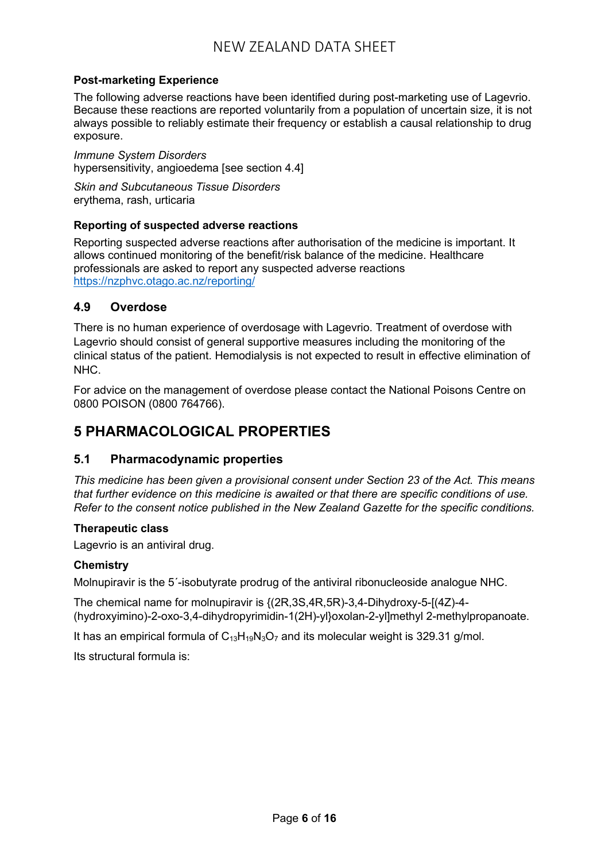## **Post-marketing Experience**

The following adverse reactions have been identified during post-marketing use of Lagevrio. Because these reactions are reported voluntarily from a population of uncertain size, it is not always possible to reliably estimate their frequency or establish a causal relationship to drug exposure.

*Immune System Disorders* hypersensitivity, angioedema [see section 4.4]

*Skin and Subcutaneous Tissue Disorders* erythema, rash, urticaria

## **Reporting of suspected adverse reactions**

Reporting suspected adverse reactions after authorisation of the medicine is important. It allows continued monitoring of the benefit/risk balance of the medicine. Healthcare professionals are asked to report any suspected adverse reactions <https://nzphvc.otago.ac.nz/reporting/>

## **4.9 Overdose**

There is no human experience of overdosage with Lagevrio. Treatment of overdose with Lagevrio should consist of general supportive measures including the monitoring of the clinical status of the patient. Hemodialysis is not expected to result in effective elimination of NHC.

For advice on the management of overdose please contact the National Poisons Centre on 0800 POISON (0800 764766).

# **5 PHARMACOLOGICAL PROPERTIES**

## **5.1 Pharmacodynamic properties**

*This medicine has been given a provisional consent under Section 23 of the Act. This means that further evidence on this medicine is awaited or that there are specific conditions of use. Refer to the consent notice published in the New Zealand Gazette for the specific conditions.*

## **Therapeutic class**

Lagevrio is an antiviral drug.

## **Chemistry**

Molnupiravir is the 5´-isobutyrate prodrug of the antiviral ribonucleoside analogue NHC.

The chemical name for molnupiravir is {(2R,3S,4R,5R)-3,4-Dihydroxy-5-[(4Z)-4- (hydroxyimino)-2-oxo-3,4-dihydropyrimidin-1(2H)-yl}oxolan-2-yl]methyl 2-methylpropanoate.

It has an empirical formula of  $C_{13}H_{19}N_3O_7$  and its molecular weight is 329.31 g/mol.

Its structural formula is: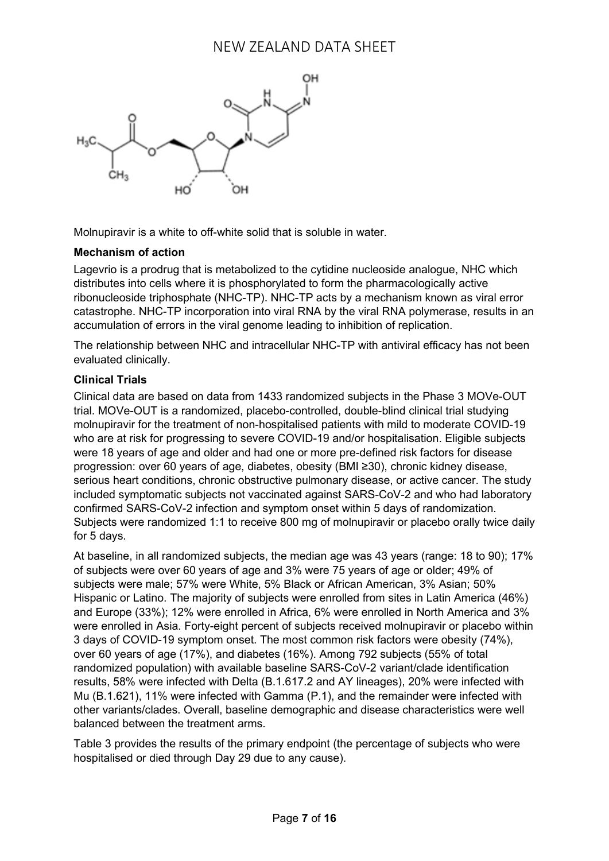

Molnupiravir is a white to off-white solid that is soluble in water.

## **Mechanism of action**

Lagevrio is a prodrug that is metabolized to the cytidine nucleoside analogue, NHC which distributes into cells where it is phosphorylated to form the pharmacologically active ribonucleoside triphosphate (NHC-TP). NHC-TP acts by a mechanism known as viral error catastrophe. NHC-TP incorporation into viral RNA by the viral RNA polymerase, results in an accumulation of errors in the viral genome leading to inhibition of replication.

The relationship between NHC and intracellular NHC-TP with antiviral efficacy has not been evaluated clinically.

## **Clinical Trials**

Clinical data are based on data from 1433 randomized subjects in the Phase 3 MOVe-OUT trial. MOVe-OUT is a randomized, placebo-controlled, double-blind clinical trial studying molnupiravir for the treatment of non-hospitalised patients with mild to moderate COVID-19 who are at risk for progressing to severe COVID-19 and/or hospitalisation. Eligible subjects were 18 years of age and older and had one or more pre-defined risk factors for disease progression: over 60 years of age, diabetes, obesity (BMI ≥30), chronic kidney disease, serious heart conditions, chronic obstructive pulmonary disease, or active cancer. The study included symptomatic subjects not vaccinated against SARS-CoV-2 and who had laboratory confirmed SARS-CoV-2 infection and symptom onset within 5 days of randomization. Subjects were randomized 1:1 to receive 800 mg of molnupiravir or placebo orally twice daily for 5 days.

At baseline, in all randomized subjects, the median age was 43 years (range: 18 to 90); 17% of subjects were over 60 years of age and 3% were 75 years of age or older; 49% of subjects were male; 57% were White, 5% Black or African American, 3% Asian; 50% Hispanic or Latino. The majority of subjects were enrolled from sites in Latin America (46%) and Europe (33%); 12% were enrolled in Africa, 6% were enrolled in North America and 3% were enrolled in Asia. Forty-eight percent of subjects received molnupiravir or placebo within 3 days of COVID-19 symptom onset. The most common risk factors were obesity (74%), over 60 years of age (17%), and diabetes (16%). Among 792 subjects (55% of total randomized population) with available baseline SARS-CoV-2 variant/clade identification results, 58% were infected with Delta (B.1.617.2 and AY lineages), 20% were infected with Mu (B.1.621), 11% were infected with Gamma (P.1), and the remainder were infected with other variants/clades. Overall, baseline demographic and disease characteristics were well balanced between the treatment arms.

Table 3 provides the results of the primary endpoint (the percentage of subjects who were hospitalised or died through Day 29 due to any cause).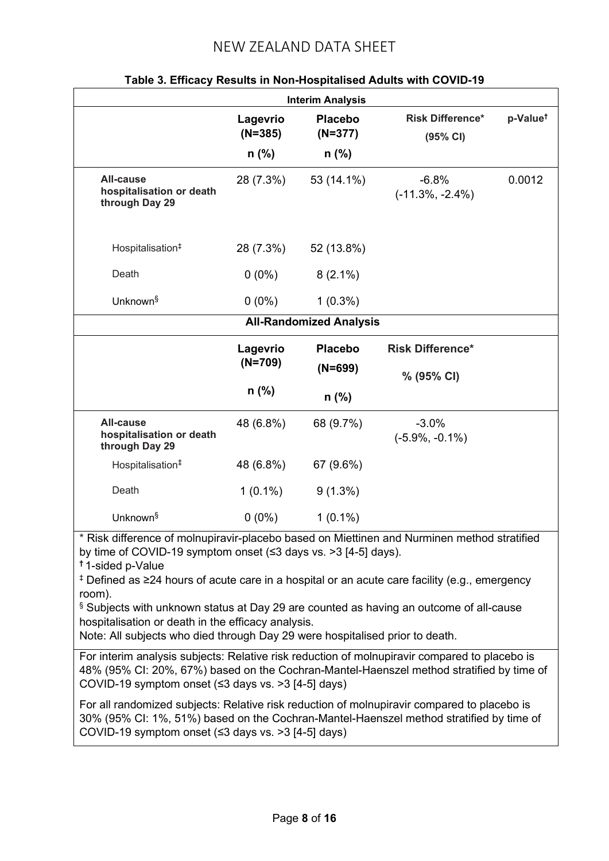| i abie J. Lilicacy Nesults III Non-Hospitalised Addits With COVID-19<br><b>Interim Analysis</b> |                       |                                |                                                                        |                      |
|-------------------------------------------------------------------------------------------------|-----------------------|--------------------------------|------------------------------------------------------------------------|----------------------|
|                                                                                                 | Lagevrio<br>$(N=385)$ | <b>Placebo</b><br>$(N=377)$    | <b>Risk Difference*</b><br>(95% CI)                                    | p-Value <sup>t</sup> |
|                                                                                                 | n (%)                 | $n$ (%)                        |                                                                        |                      |
| <b>All-cause</b><br>hospitalisation or death<br>through Day 29                                  | 28 (7.3%)             | 53 (14.1%)                     | $-6.8%$<br>$(-11.3\%, -2.4\%)$                                         | 0.0012               |
| Hospitalisation <sup>#</sup>                                                                    | 28 (7.3%)             | 52 (13.8%)                     |                                                                        |                      |
| Death                                                                                           | $0(0\%)$              | $8(2.1\%)$                     |                                                                        |                      |
| Unknown <sup>§</sup>                                                                            | $0(0\%)$              | $1(0.3\%)$                     |                                                                        |                      |
|                                                                                                 |                       | <b>All-Randomized Analysis</b> |                                                                        |                      |
|                                                                                                 | Lagevrio              | <b>Placebo</b>                 | <b>Risk Difference*</b>                                                |                      |
|                                                                                                 | $(N=709)$             | $(N=699)$                      | % (95% CI)                                                             |                      |
|                                                                                                 | $n$ (%)               | $n$ (%)                        |                                                                        |                      |
| <b>All-cause</b><br>hospitalisation or death<br>through Day 29                                  | 48 (6.8%)             | 68 (9.7%)                      | $-3.0%$<br>$(-5.9\%, -0.1\%)$                                          |                      |
| Hospitalisation <sup>#</sup>                                                                    | 48 (6.8%)             | 67 (9.6%)                      |                                                                        |                      |
| Death                                                                                           | $1(0.1\%)$            | $9(1.3\%)$                     |                                                                        |                      |
| Unknown <sup>§</sup><br>$*$ Diale different                                                     | $0(0\%)$              | $1(0.1\%)$                     | of medicing in place hoped on Miettinen and Nurminen method stratified |                      |

## **Table 3. Efficacy Results in Non-Hospitalised Adults with COVID-19**

\* Risk difference of molnupiravir-placebo based on Miettinen and Nurminen method stratified by time of COVID-19 symptom onset (≤3 days vs. >3 [4-5] days).

**†** 1-sided p-Value

‡ Defined as ≥24 hours of acute care in a hospital or an acute care facility (e.g., emergency room).

§ Subjects with unknown status at Day 29 are counted as having an outcome of all-cause hospitalisation or death in the efficacy analysis.

Note: All subjects who died through Day 29 were hospitalised prior to death.

For interim analysis subjects: Relative risk reduction of molnupiravir compared to placebo is 48% (95% CI: 20%, 67%) based on the Cochran-Mantel-Haenszel method stratified by time of COVID-19 symptom onset (≤3 days vs. >3 [4-5] days)

For all randomized subjects: Relative risk reduction of molnupiravir compared to placebo is 30% (95% CI: 1%, 51%) based on the Cochran-Mantel-Haenszel method stratified by time of COVID-19 symptom onset (≤3 days vs. >3 [4-5] days)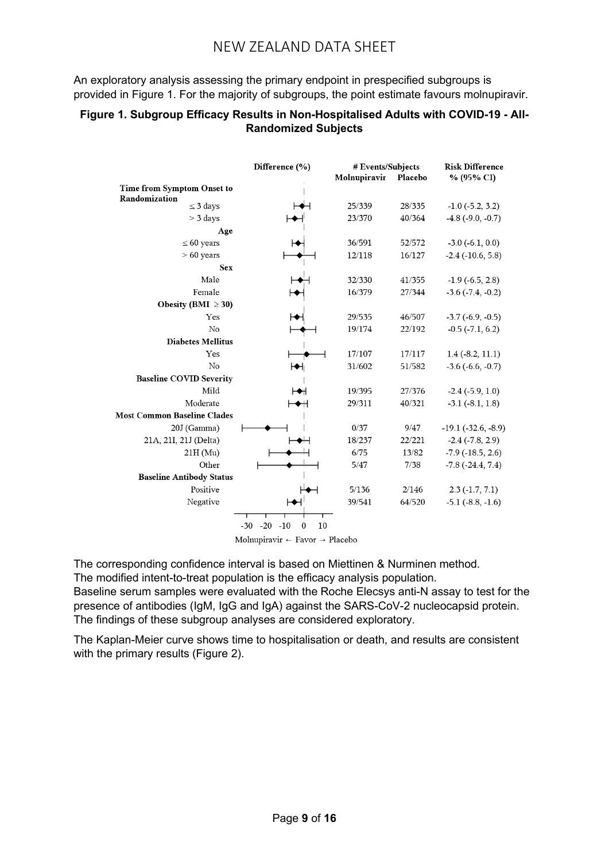An exploratory analysis assessing the primary endpoint in prespecified subgroups is provided in Figure 1. For the majority of subgroups, the point estimate favours molnupiravir.

## **Figure 1. Subgroup Efficacy Results in Non-Hospitalised Adults with COVID-19 - All-Randomized Subjects**

|                                    | Difference (%)                           | # Events/Subjects<br>Molnupiravir | Placebo | <b>Risk Difference</b><br>% (95% CI) |
|------------------------------------|------------------------------------------|-----------------------------------|---------|--------------------------------------|
| Time from Symptom Onset to         |                                          |                                   |         |                                      |
| Randomization<br>$\leq$ 3 days     |                                          | 25/339                            | 28/335  | $-1.0$ ( $-5.2$ , 3.2)               |
| $>$ 3 days                         |                                          | 23/370                            | 40/364  | $-4.8$ ( $-9.0, -0.7$ )              |
| Age                                |                                          |                                   |         |                                      |
| $\leq 60$ years                    |                                          | 36/591                            | 52/572  | $-3.0$ $(-6.1, 0.0)$                 |
| $>60$ years                        |                                          | 12/118                            | 16/127  | $-2.4$ ( $-10.6, 5.8$ )              |
| <b>Sex</b>                         |                                          |                                   |         |                                      |
| Male                               |                                          | 32/330                            | 41/355  | $-1.9$ ( $-6.5, 2.8$ )               |
| Female                             |                                          | 16/379                            | 27/344  | $-3.6(-7.4, -0.2)$                   |
| Obesity (BMI $\geq$ 30)            |                                          |                                   |         |                                      |
| Yes                                |                                          | 29/535                            | 46/507  | $-3.7$ $(-6.9, -0.5)$                |
| No                                 |                                          | 19/174                            | 22/192  | $-0.5$ ( $-7.1, 6.2$ )               |
| <b>Diabetes Mellitus</b>           |                                          |                                   |         |                                      |
| Yes                                |                                          | 17/107                            | 17/117  | $1.4$ (-8.2, 11.1)                   |
| No                                 |                                          | 31/602                            | 51/582  | $-3.6$ $(-6.6, -0.7)$                |
| <b>Baseline COVID Severity</b>     |                                          |                                   |         |                                      |
| Mild                               | ⊢◆⊬                                      | 19/395                            | 27/376  | $-2.4(-5.9, 1.0)$                    |
| Moderate                           | ◆H                                       | 29/311                            | 40/321  | $-3.1(-8.1, 1.8)$                    |
| <b>Most Common Baseline Clades</b> |                                          |                                   |         |                                      |
| 20J (Gamma)                        |                                          | 0/37                              | 9/47    | $-19.1$ ( $-32.6, -8.9$ )            |
| 21A, 21I, 21J (Delta)              |                                          | 18/237                            | 22/221  | $-2.4$ ( $-7.8$ , 2.9)               |
| $21H$ (Mu)                         |                                          | 6/75                              | 13/82   | $-7.9$ ( $-18.5$ , 2.6)              |
| Other                              |                                          | 5/47                              | 7/38    | $-7.8$ ( $-24.4$ , $7.4$ )           |
| <b>Baseline Antibody Status</b>    |                                          |                                   |         |                                      |
| Positive                           |                                          | 5/136                             | 2/146   | $2.3(-1.7, 7.1)$                     |
| Negative                           |                                          | 39/541                            | 64/520  | $-5.1$ $(-8.8, -1.6)$                |
|                                    |                                          |                                   |         |                                      |
|                                    | $-30 -20$<br>$-10$<br>$\mathbf{0}$<br>10 |                                   |         |                                      |

Molnupiravir  $\leftarrow$  Favor  $\rightarrow$  Placebo

The corresponding confidence interval is based on Miettinen & Nurminen method. The modified intent-to-treat population is the efficacy analysis population.

Baseline serum samples were evaluated with the Roche Elecsys anti-N assay to test for the presence of antibodies (IgM, IgG and IgA) against the SARS-CoV-2 nucleocapsid protein. The findings of these subgroup analyses are considered exploratory.

The Kaplan-Meier curve shows time to hospitalisation or death, and results are consistent with the primary results (Figure 2).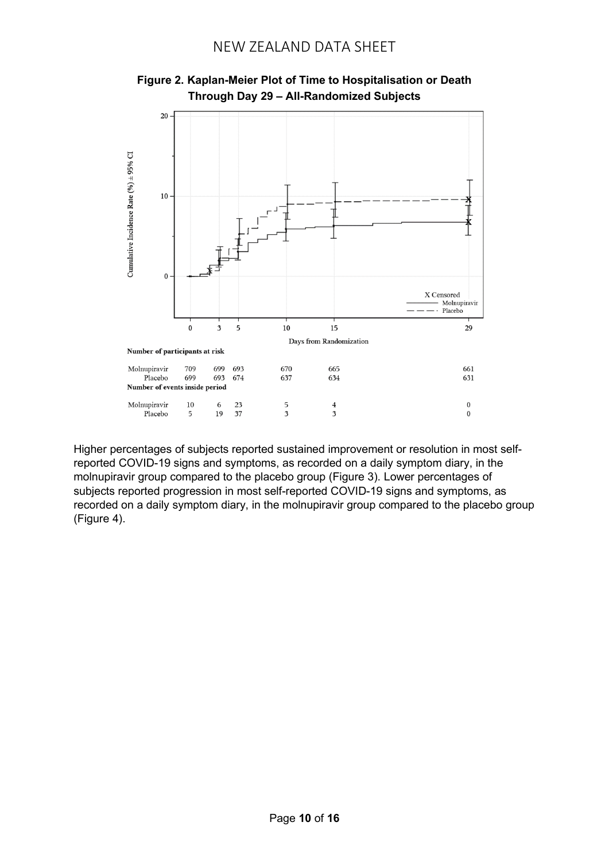

**Figure 2. Kaplan-Meier Plot of Time to Hospitalisation or Death Through Day 29 – All-Randomized Subjects**

Higher percentages of subjects reported sustained improvement or resolution in most selfreported COVID-19 signs and symptoms, as recorded on a daily symptom diary, in the molnupiravir group compared to the placebo group (Figure 3). Lower percentages of subjects reported progression in most self-reported COVID-19 signs and symptoms, as recorded on a daily symptom diary, in the molnupiravir group compared to the placebo group (Figure 4).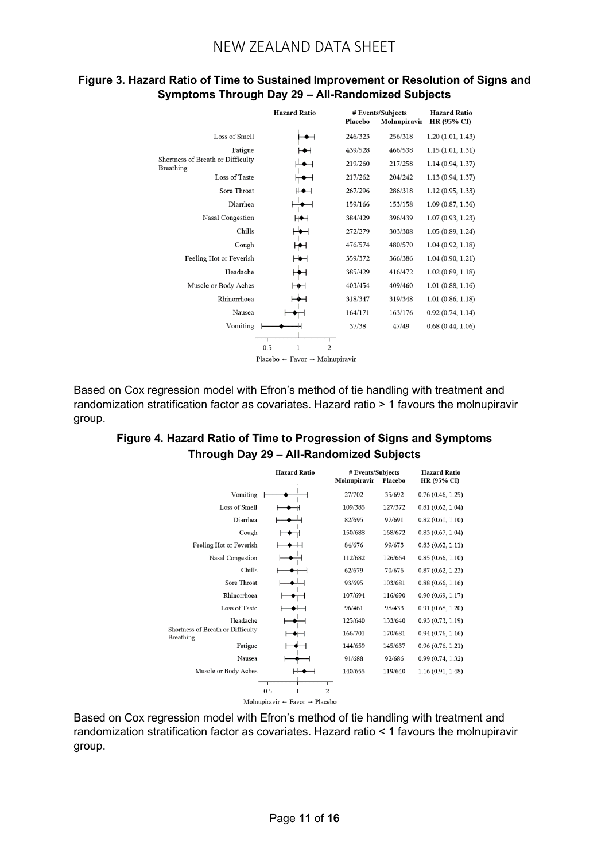## **Figure 3. Hazard Ratio of Time to Sustained Improvement or Resolution of Signs and Symptoms Through Day 29 – All-Randomized Subjects**

|                                                       | <b>Hazard Ratio</b>                                                    | Placebo | # Events/Subjects<br>Molnupiravir | <b>Hazard Ratio</b><br>HR (95% CI) |
|-------------------------------------------------------|------------------------------------------------------------------------|---------|-----------------------------------|------------------------------------|
| Loss of Smell                                         |                                                                        | 246/323 | 256/318                           | 1.20(1.01, 1.43)                   |
| Fatigue                                               |                                                                        | 439/528 | 466/538                           | 1.15(1.01, 1.31)                   |
| Shortness of Breath or Difficulty<br><b>Breathing</b> |                                                                        | 219/260 | 217/258                           | 1.14(0.94, 1.37)                   |
| Loss of Taste                                         |                                                                        | 217/262 | 204/242                           | 1.13(0.94, 1.37)                   |
| Sore Throat                                           |                                                                        | 267/296 | 286/318                           | 1.12(0.95, 1.33)                   |
| Diarrhea                                              |                                                                        | 159/166 | 153/158                           | 1.09(0.87, 1.36)                   |
| Nasal Congestion                                      |                                                                        | 384/429 | 396/439                           | 1.07(0.93, 1.23)                   |
| Chills                                                |                                                                        | 272/279 | 303/308                           | 1.05(0.89, 1.24)                   |
| Cough                                                 |                                                                        | 476/574 | 480/570                           | 1.04(0.92, 1.18)                   |
| Feeling Hot or Feverish                               |                                                                        | 359/372 | 366/386                           | 1.04(0.90, 1.21)                   |
| Headache                                              |                                                                        | 385/429 | 416/472                           | 1.02(0.89, 1.18)                   |
| Muscle or Body Aches                                  |                                                                        | 403/454 | 409/460                           | 1.01(0.88, 1.16)                   |
| Rhinorrhoea                                           |                                                                        | 318/347 | 319/348                           | 1.01(0.86, 1.18)                   |
| Nausea                                                |                                                                        | 164/171 | 163/176                           | 0.92(0.74, 1.14)                   |
| Vomiting                                              |                                                                        | 37/38   | 47/49                             | 0.68(0.44, 1.06)                   |
|                                                       | 0.5<br>1<br>2<br>Placebo $\leftarrow$ Favor $\rightarrow$ Molnupiravir |         |                                   |                                    |

Based on Cox regression model with Efron's method of tie handling with treatment and randomization stratification factor as covariates. Hazard ratio > 1 favours the molnupiravir group.

## **Figure 4. Hazard Ratio of Time to Progression of Signs and Symptoms Through Day 29 – All-Randomized Subjects**



Based on Cox regression model with Efron's method of tie handling with treatment and randomization stratification factor as covariates. Hazard ratio < 1 favours the molnupiravir group.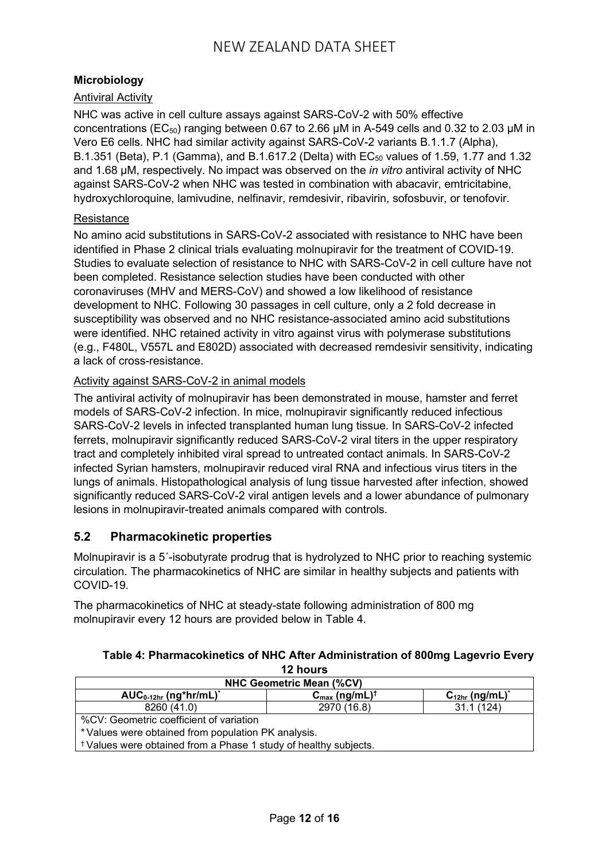## **Microbiology**

## Antiviral Activity

NHC was active in cell culture assays against SARS-CoV-2 with 50% effective concentrations ( $EC_{50}$ ) ranging between 0.67 to 2.66  $\mu$ M in A-549 cells and 0.32 to 2.03  $\mu$ M in Vero E6 cells. NHC had similar activity against SARS-CoV-2 variants B.1.1.7 (Alpha), B.1.351 (Beta), P.1 (Gamma), and B.1.617.2 (Delta) with  $EC_{50}$  values of 1.59, 1.77 and 1.32 and 1.68 µM, respectively. No impact was observed on the *in vitro* antiviral activity of NHC against SARS-CoV-2 when NHC was tested in combination with abacavir, emtricitabine, hydroxychloroquine, lamivudine, nelfinavir, remdesivir, ribavirin, sofosbuvir, or tenofovir.

## **Resistance**

No amino acid substitutions in SARS-CoV-2 associated with resistance to NHC have been identified in Phase 2 clinical trials evaluating molnupiravir for the treatment of COVID-19. Studies to evaluate selection of resistance to NHC with SARS-CoV-2 in cell culture have not been completed. Resistance selection studies have been conducted with other coronaviruses (MHV and MERS-CoV) and showed a low likelihood of resistance development to NHC. Following 30 passages in cell culture, only a 2 fold decrease in susceptibility was observed and no NHC resistance-associated amino acid substitutions were identified. NHC retained activity in vitro against virus with polymerase substitutions (e.g., F480L, V557L and E802D) associated with decreased remdesivir sensitivity, indicating a lack of cross-resistance.

## Activity against SARS-CoV-2 in animal models

The antiviral activity of molnupiravir has been demonstrated in mouse, hamster and ferret models of SARS-CoV-2 infection. In mice, molnupiravir significantly reduced infectious SARS-CoV-2 levels in infected transplanted human lung tissue. In SARS-CoV-2 infected ferrets, molnupiravir significantly reduced SARS-CoV-2 viral titers in the upper respiratory tract and completely inhibited viral spread to untreated contact animals. In SARS-CoV-2 infected Syrian hamsters, molnupiravir reduced viral RNA and infectious virus titers in the lungs of animals. Histopathological analysis of lung tissue harvested after infection, showed significantly reduced SARS-CoV-2 viral antigen levels and a lower abundance of pulmonary lesions in molnupiravir-treated animals compared with controls.

## **5.2 Pharmacokinetic properties**

Molnupiravir is a 5´-isobutyrate prodrug that is hydrolyzed to NHC prior to reaching systemic circulation. The pharmacokinetics of NHC are similar in healthy subjects and patients with COVID-19.

The pharmacokinetics of NHC at steady-state following administration of 800 mg molnupiravir every 12 hours are provided below in Table 4.

#### **Table 4: Pharmacokinetics of NHC After Administration of 800mg Lagevrio Every 12 hours**

| <b>NHC Geometric Mean (%CV)</b>                                             |                                       |                                 |  |  |
|-----------------------------------------------------------------------------|---------------------------------------|---------------------------------|--|--|
| $AUC_{0-12hr}$ (ng*hr/mL)*                                                  | $C_{\text{max}}$ (ng/mL) <sup>†</sup> | $C_{12hr}$ (ng/mL) <sup>*</sup> |  |  |
| 8260 (41.0)                                                                 | 2970 (16.8)                           | 31.1 (124)                      |  |  |
| %CV: Geometric coefficient of variation                                     |                                       |                                 |  |  |
| * Values were obtained from population PK analysis.                         |                                       |                                 |  |  |
| <sup>†</sup> Values were obtained from a Phase 1 study of healthy subjects. |                                       |                                 |  |  |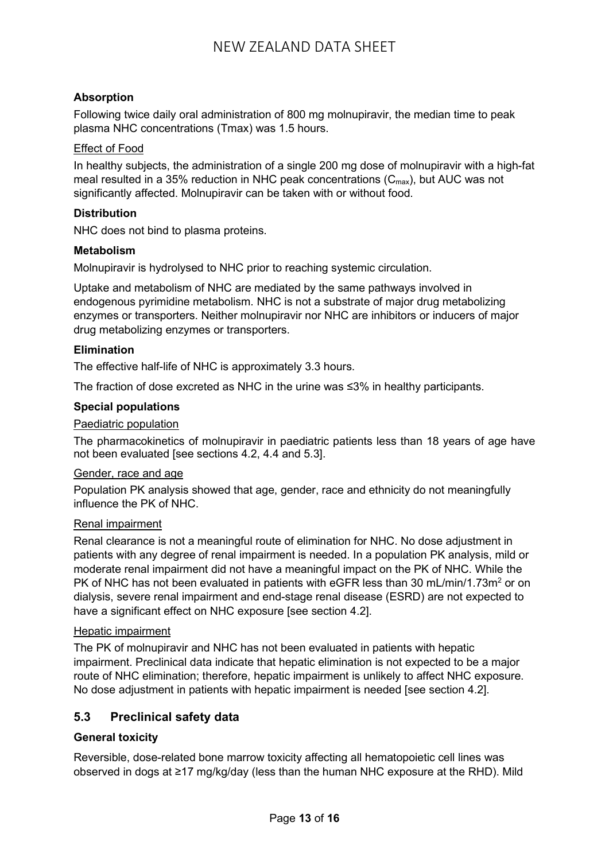## **Absorption**

Following twice daily oral administration of 800 mg molnupiravir, the median time to peak plasma NHC concentrations (Tmax) was 1.5 hours.

## Effect of Food

In healthy subjects, the administration of a single 200 mg dose of molnupiravir with a high-fat meal resulted in a 35% reduction in NHC peak concentrations  $(C_{max})$ , but AUC was not significantly affected. Molnupiravir can be taken with or without food.

## **Distribution**

NHC does not bind to plasma proteins.

## **Metabolism**

Molnupiravir is hydrolysed to NHC prior to reaching systemic circulation.

Uptake and metabolism of NHC are mediated by the same pathways involved in endogenous pyrimidine metabolism. NHC is not a substrate of major drug metabolizing enzymes or transporters. Neither molnupiravir nor NHC are inhibitors or inducers of major drug metabolizing enzymes or transporters.

## **Elimination**

The effective half-life of NHC is approximately 3.3 hours.

The fraction of dose excreted as NHC in the urine was ≤3% in healthy participants.

## **Special populations**

## Paediatric population

The pharmacokinetics of molnupiravir in paediatric patients less than 18 years of age have not been evaluated [see sections 4.2, 4.4 and 5.3].

#### Gender, race and age

Population PK analysis showed that age, gender, race and ethnicity do not meaningfully influence the PK of NHC.

## Renal impairment

Renal clearance is not a meaningful route of elimination for NHC. No dose adjustment in patients with any degree of renal impairment is needed. In a population PK analysis, mild or moderate renal impairment did not have a meaningful impact on the PK of NHC. While the PK of NHC has not been evaluated in patients with eGFR less than 30 mL/min/1.73m<sup>2</sup> or on dialysis, severe renal impairment and end-stage renal disease (ESRD) are not expected to have a significant effect on NHC exposure [see section 4.2].

## Hepatic impairment

The PK of molnupiravir and NHC has not been evaluated in patients with hepatic impairment. Preclinical data indicate that hepatic elimination is not expected to be a major route of NHC elimination; therefore, hepatic impairment is unlikely to affect NHC exposure. No dose adjustment in patients with hepatic impairment is needed [see section 4.2].

## **5.3 Preclinical safety data**

## **General toxicity**

Reversible, dose-related bone marrow toxicity affecting all hematopoietic cell lines was observed in dogs at ≥17 mg/kg/day (less than the human NHC exposure at the RHD). Mild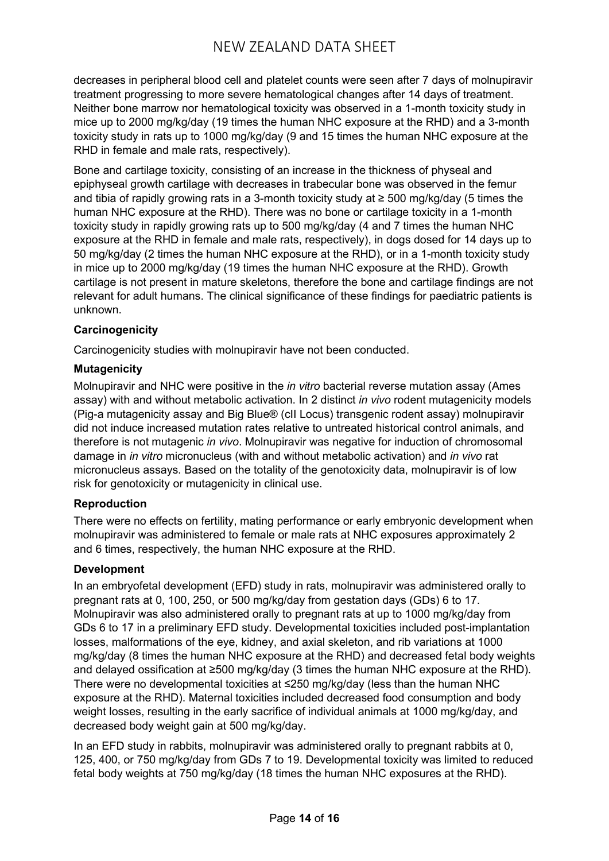decreases in peripheral blood cell and platelet counts were seen after 7 days of molnupiravir treatment progressing to more severe hematological changes after 14 days of treatment. Neither bone marrow nor hematological toxicity was observed in a 1-month toxicity study in mice up to 2000 mg/kg/day (19 times the human NHC exposure at the RHD) and a 3-month toxicity study in rats up to 1000 mg/kg/day (9 and 15 times the human NHC exposure at the RHD in female and male rats, respectively).

Bone and cartilage toxicity, consisting of an increase in the thickness of physeal and epiphyseal growth cartilage with decreases in trabecular bone was observed in the femur and tibia of rapidly growing rats in a 3-month toxicity study at  $\geq$  500 mg/kg/day (5 times the human NHC exposure at the RHD). There was no bone or cartilage toxicity in a 1-month toxicity study in rapidly growing rats up to 500 mg/kg/day (4 and 7 times the human NHC exposure at the RHD in female and male rats, respectively), in dogs dosed for 14 days up to 50 mg/kg/day (2 times the human NHC exposure at the RHD), or in a 1-month toxicity study in mice up to 2000 mg/kg/day (19 times the human NHC exposure at the RHD). Growth cartilage is not present in mature skeletons, therefore the bone and cartilage findings are not relevant for adult humans. The clinical significance of these findings for paediatric patients is unknown.

## **Carcinogenicity**

Carcinogenicity studies with molnupiravir have not been conducted.

## **Mutagenicity**

Molnupiravir and NHC were positive in the *in vitro* bacterial reverse mutation assay (Ames assay) with and without metabolic activation. In 2 distinct *in vivo* rodent mutagenicity models (Pig-a mutagenicity assay and Big Blue® (cII Locus) transgenic rodent assay) molnupiravir did not induce increased mutation rates relative to untreated historical control animals, and therefore is not mutagenic *in vivo*. Molnupiravir was negative for induction of chromosomal damage in *in vitro* micronucleus (with and without metabolic activation) and *in vivo* rat micronucleus assays. Based on the totality of the genotoxicity data, molnupiravir is of low risk for genotoxicity or mutagenicity in clinical use.

## **Reproduction**

There were no effects on fertility, mating performance or early embryonic development when molnupiravir was administered to female or male rats at NHC exposures approximately 2 and 6 times, respectively, the human NHC exposure at the RHD.

## **Development**

In an embryofetal development (EFD) study in rats, molnupiravir was administered orally to pregnant rats at 0, 100, 250, or 500 mg/kg/day from gestation days (GDs) 6 to 17. Molnupiravir was also administered orally to pregnant rats at up to 1000 mg/kg/day from GDs 6 to 17 in a preliminary EFD study. Developmental toxicities included post-implantation losses, malformations of the eye, kidney, and axial skeleton, and rib variations at 1000 mg/kg/day (8 times the human NHC exposure at the RHD) and decreased fetal body weights and delayed ossification at ≥500 mg/kg/day (3 times the human NHC exposure at the RHD). There were no developmental toxicities at ≤250 mg/kg/day (less than the human NHC exposure at the RHD). Maternal toxicities included decreased food consumption and body weight losses, resulting in the early sacrifice of individual animals at 1000 mg/kg/day, and decreased body weight gain at 500 mg/kg/day.

In an EFD study in rabbits, molnupiravir was administered orally to pregnant rabbits at 0, 125, 400, or 750 mg/kg/day from GDs 7 to 19. Developmental toxicity was limited to reduced fetal body weights at 750 mg/kg/day (18 times the human NHC exposures at the RHD).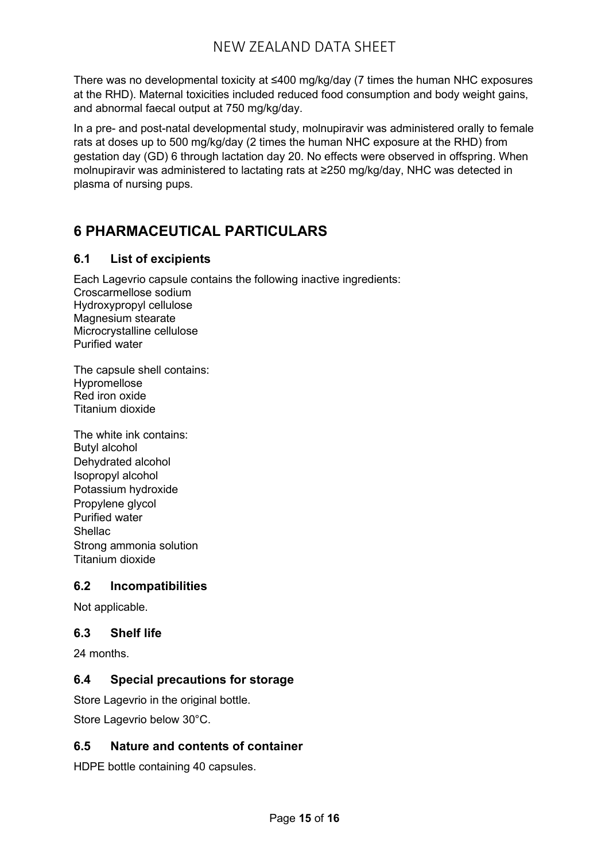There was no developmental toxicity at ≤400 mg/kg/day (7 times the human NHC exposures at the RHD). Maternal toxicities included reduced food consumption and body weight gains, and abnormal faecal output at 750 mg/kg/day.

In a pre- and post-natal developmental study, molnupiravir was administered orally to female rats at doses up to 500 mg/kg/day (2 times the human NHC exposure at the RHD) from gestation day (GD) 6 through lactation day 20. No effects were observed in offspring. When molnupiravir was administered to lactating rats at ≥250 mg/kg/day, NHC was detected in plasma of nursing pups.

# **6 PHARMACEUTICAL PARTICULARS**

## **6.1 List of excipients**

Each Lagevrio capsule contains the following inactive ingredients: Croscarmellose sodium Hydroxypropyl cellulose Magnesium stearate Microcrystalline cellulose Purified water

The capsule shell contains: Hypromellose Red iron oxide Titanium dioxide

The white ink contains: Butyl alcohol Dehydrated alcohol Isopropyl alcohol Potassium hydroxide Propylene glycol Purified water Shellac Strong ammonia solution Titanium dioxide

## **6.2 Incompatibilities**

Not applicable.

## **6.3 Shelf life**

24 months.

## **6.4 Special precautions for storage**

Store Lagevrio in the original bottle.

Store Lagevrio below 30°C.

## **6.5 Nature and contents of container**

HDPE bottle containing 40 capsules.